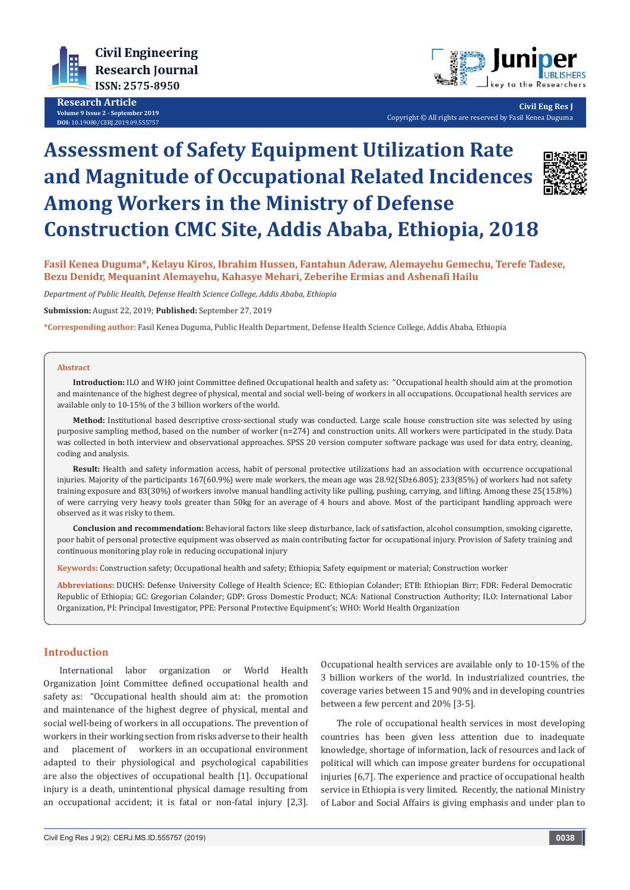

**Research Article Volume 9 Issue 2 - September 2019 DOI:** [10.19080/CERJ.2019.09.555757](http://dx.doi.org/10.19080/CERJ.2019.09.555757)



**Civil Eng Res J** Copyright © All rights are reserved by Fasil Kenea Duguma

# **Assessment of Safety Equipment Utilization Rate and Magnitude of Occupational Related Incidences Among Workers in the Ministry of Defense Construction CMC Site, Addis Ababa, Ethiopia, 2018**



**Fasil Kenea Duguma\*, Kelayu Kiros, Ibrahim Hussen, Fantahun Aderaw, Alemayehu Gemechu, Terefe Tadese, Bezu Denidr, Mequanint Alemayehu, Kahasye Mehari, Zeberihe Ermias and Ashenafi Hailu**

*Department of Public Health, Defense Health Science College, Addis Ababa, Ethiopia*

**Submission:** August 22, 2019; **Published:** September 27, 2019

**\*Corresponding author:** Fasil Kenea Duguma, Public Health Department, Defense Health Science College, Addis Ababa, Ethiopia

#### **Abstract**

**Introduction:** ILO and WHO joint Committee defined Occupational health and safety as: "Occupational health should aim at the promotion and maintenance of the highest degree of physical, mental and social well-being of workers in all occupations. Occupational health services are available only to 10-15% of the 3 billion workers of the world.

**Method:** Institutional based descriptive cross-sectional study was conducted. Large scale house construction site was selected by using purposive sampling method, based on the number of worker (n=274) and construction units. All workers were participated in the study. Data was collected in both interview and observational approaches. SPSS 20 version computer software package was used for data entry, cleaning, coding and analysis.

**Result:** Health and safety information access, habit of personal protective utilizations had an association with occurrence occupational injuries. Majority of the participants 167(60.9%) were male workers, the mean age was 28.92(SD±6.805); 233(85%) of workers had not safety training exposure and 83(30%) of workers involve manual handling activity like pulling, pushing, carrying, and lifting. Among these 25(15.8%) of were carrying very heavy tools greater than 50kg for an average of 4 hours and above. Most of the participant handling approach were observed as it was risky to them.

**Conclusion and recommendation:** Behavioral factors like sleep disturbance, lack of satisfaction, alcohol consumption, smoking cigarette, poor habit of personal protective equipment was observed as main contributing factor for occupational injury. Provision of Safety training and continuous monitoring play role in reducing occupational injury

**Keywords:** Construction safety; Occupational health and safety; Ethiopia; Safety equipment or material; Construction worker

**Abbreviations:** DUCHS: Defense University College of Health Science; EC: Ethiopian Colander; ETB: Ethiopian Birr; FDR: Federal Democratic Republic of Ethiopia; GC: Gregorian Colander; GDP: Gross Domestic Product; NCA: National Construction Authority; ILO: International Labor Organization, PI: Principal Investigator, PPE: Personal Protective Equipment's; WHO: World Health Organization

# **Introduction**

International labor organization or World Health Organization Joint Committee defined occupational health and safety as: "Occupational health should aim at: the promotion and maintenance of the highest degree of physical, mental and social well-being of workers in all occupations. The prevention of workers in their working section from risks adverse to their health and placement of workers in an occupational environment adapted to their physiological and psychological capabilities are also the objectives of occupational health [1]. Occupational injury is a death, unintentional physical damage resulting from an occupational accident; it is fatal or non-fatal injury [2,3].

Occupational health services are available only to 10-15% of the 3 billion workers of the world. In industrialized countries, the coverage varies between 15 and 90% and in developing countries between a few percent and 20% [3-5].

The role of occupational health services in most developing countries has been given less attention due to inadequate knowledge, shortage of information, lack of resources and lack of political will which can impose greater burdens for occupational injuries [6,7]. The experience and practice of occupational health service in Ethiopia is very limited. Recently, the national Ministry of Labor and Social Affairs is giving emphasis and under plan to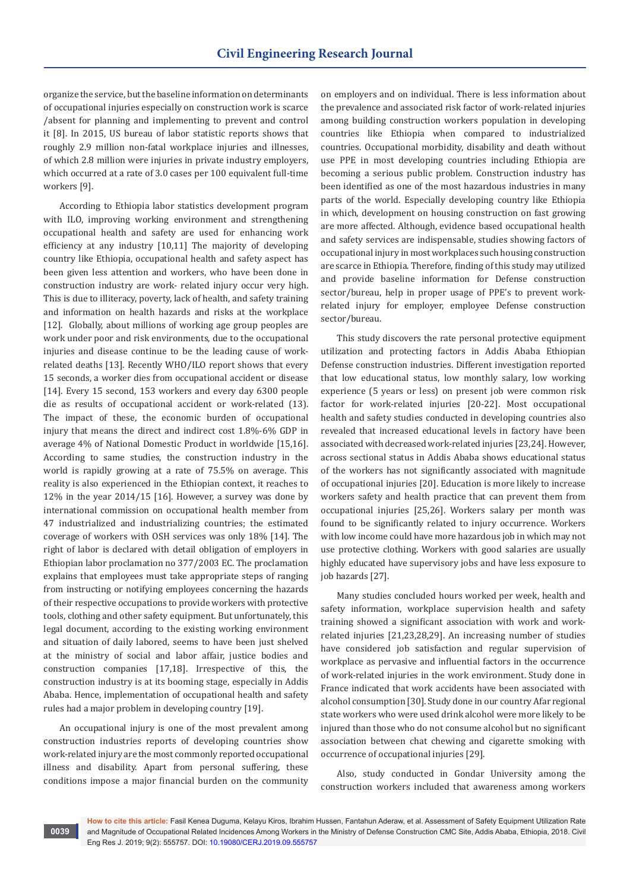organize the service, but the baseline information on determinants of occupational injuries especially on construction work is scarce /absent for planning and implementing to prevent and control it [8]. In 2015, US bureau of labor statistic reports shows that roughly 2.9 million non-fatal workplace injuries and illnesses, of which 2.8 million were injuries in private industry employers, which occurred at a rate of 3.0 cases per 100 equivalent full-time workers [9].

According to Ethiopia labor statistics development program with ILO, improving working environment and strengthening occupational health and safety are used for enhancing work efficiency at any industry [10,11] The majority of developing country like Ethiopia, occupational health and safety aspect has been given less attention and workers, who have been done in construction industry are work- related injury occur very high. This is due to illiteracy, poverty, lack of health, and safety training and information on health hazards and risks at the workplace [12]. Globally, about millions of working age group peoples are work under poor and risk environments, due to the occupational injuries and disease continue to be the leading cause of workrelated deaths [13]. Recently WHO/ILO report shows that every 15 seconds, a worker dies from occupational accident or disease [14]. Every 15 second, 153 workers and every day 6300 people die as results of occupational accident or work-related (13). The impact of these, the economic burden of occupational injury that means the direct and indirect cost 1.8%-6% GDP in average 4% of National Domestic Product in worldwide [15,16]. According to same studies, the construction industry in the world is rapidly growing at a rate of 75.5% on average. This reality is also experienced in the Ethiopian context, it reaches to 12% in the year 2014/15 [16]. However, a survey was done by international commission on occupational health member from 47 industrialized and industrializing countries; the estimated coverage of workers with OSH services was only 18% [14]. The right of labor is declared with detail obligation of employers in Ethiopian labor proclamation no 377/2003 EC. The proclamation explains that employees must take appropriate steps of ranging from instructing or notifying employees concerning the hazards of their respective occupations to provide workers with protective tools, clothing and other safety equipment. But unfortunately, this legal document, according to the existing working environment and situation of daily labored, seems to have been just shelved at the ministry of social and labor affair, justice bodies and construction companies [17,18]. Irrespective of this, the construction industry is at its booming stage, especially in Addis Ababa. Hence, implementation of occupational health and safety rules had a major problem in developing country [19].

An occupational injury is one of the most prevalent among construction industries reports of developing countries show work-related injury are the most commonly reported occupational illness and disability. Apart from personal suffering, these conditions impose a major financial burden on the community

on employers and on individual. There is less information about the prevalence and associated risk factor of work-related injuries among building construction workers population in developing countries like Ethiopia when compared to industrialized countries. Occupational morbidity, disability and death without use PPE in most developing countries including Ethiopia are becoming a serious public problem. Construction industry has been identified as one of the most hazardous industries in many parts of the world. Especially developing country like Ethiopia in which, development on housing construction on fast growing are more affected. Although, evidence based occupational health and safety services are indispensable, studies showing factors of occupational injury in most workplaces such housing construction are scarce in Ethiopia. Therefore, finding of this study may utilized and provide baseline information for Defense construction sector/bureau, help in proper usage of PPE's to prevent workrelated injury for employer, employee Defense construction sector/bureau.

This study discovers the rate personal protective equipment utilization and protecting factors in Addis Ababa Ethiopian Defense construction industries. Different investigation reported that low educational status, low monthly salary, low working experience (5 years or less) on present job were common risk factor for work-related injuries [20-22]. Most occupational health and safety studies conducted in developing countries also revealed that increased educational levels in factory have been associated with decreased work-related injuries [23,24]. However, across sectional status in Addis Ababa shows educational status of the workers has not significantly associated with magnitude of occupational injuries [20]. Education is more likely to increase workers safety and health practice that can prevent them from occupational injuries [25,26]. Workers salary per month was found to be significantly related to injury occurrence. Workers with low income could have more hazardous job in which may not use protective clothing. Workers with good salaries are usually highly educated have supervisory jobs and have less exposure to job hazards [27].

Many studies concluded hours worked per week, health and safety information, workplace supervision health and safety training showed a significant association with work and workrelated injuries [21,23,28,29]. An increasing number of studies have considered job satisfaction and regular supervision of workplace as pervasive and influential factors in the occurrence of work-related injuries in the work environment. Study done in France indicated that work accidents have been associated with alcohol consumption [30]. Study done in our country Afar regional state workers who were used drink alcohol were more likely to be injured than those who do not consume alcohol but no significant association between chat chewing and cigarette smoking with occurrence of occupational injuries [29].

Also, study conducted in Gondar University among the construction workers included that awareness among workers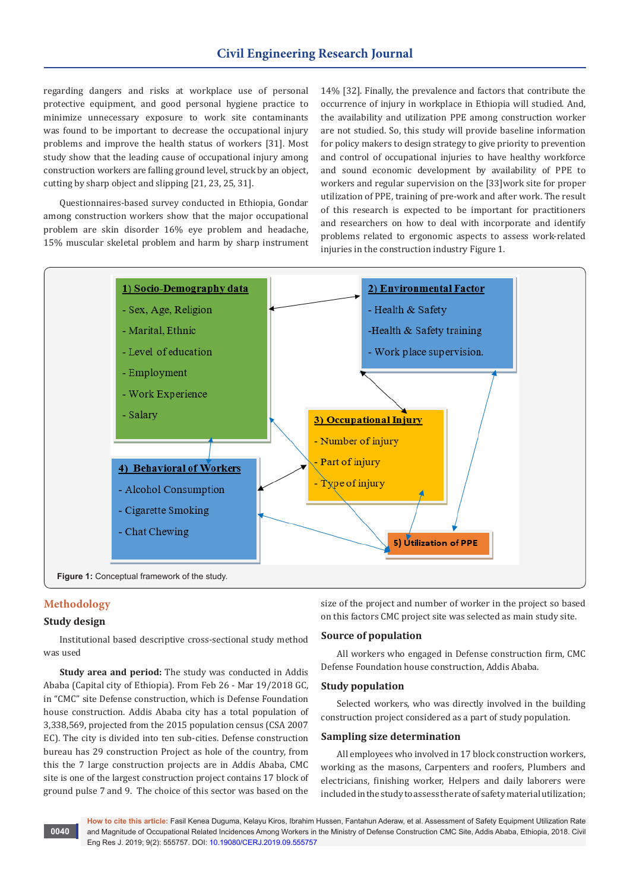regarding dangers and risks at workplace use of personal protective equipment, and good personal hygiene practice to minimize unnecessary exposure to work site contaminants was found to be important to decrease the occupational injury problems and improve the health status of workers [31]. Most study show that the leading cause of occupational injury among construction workers are falling ground level, struck by an object, cutting by sharp object and slipping [21, 23, 25, 31].

Questionnaires-based survey conducted in Ethiopia, Gondar among construction workers show that the major occupational problem are skin disorder 16% eye problem and headache, 15% muscular skeletal problem and harm by sharp instrument 14% [32]. Finally, the prevalence and factors that contribute the occurrence of injury in workplace in Ethiopia will studied. And, the availability and utilization PPE among construction worker are not studied. So, this study will provide baseline information for policy makers to design strategy to give priority to prevention and control of occupational injuries to have healthy workforce and sound economic development by availability of PPE to workers and regular supervision on the [33]work site for proper utilization of PPE, training of pre-work and after work. The result of this research is expected to be important for practitioners and researchers on how to deal with incorporate and identify problems related to ergonomic aspects to assess work-related injuries in the construction industry Figure 1.



# **Methodology**

#### **Study design**

Institutional based descriptive cross-sectional study method was used

**Study area and period:** The study was conducted in Addis Ababa (Capital city of Ethiopia). From Feb 26 - Mar 19/2018 GC, in "CMC" site Defense construction, which is Defense Foundation house construction. Addis Ababa city has a total population of 3,338,569, projected from the 2015 population census (CSA 2007 EC). The city is divided into ten sub-cities. Defense construction bureau has 29 construction Project as hole of the country, from this the 7 large construction projects are in Addis Ababa, CMC site is one of the largest construction project contains 17 block of ground pulse 7 and 9. The choice of this sector was based on the size of the project and number of worker in the project so based on this factors CMC project site was selected as main study site.

#### **Source of population**

All workers who engaged in Defense construction firm, CMC Defense Foundation house construction, Addis Ababa.

# **Study population**

Selected workers, who was directly involved in the building construction project considered as a part of study population.

#### **Sampling size determination**

All employees who involved in 17 block construction workers, working as the masons, Carpenters and roofers, Plumbers and electricians, finishing worker, Helpers and daily laborers were included in the study to assess the rate of safety material utilization;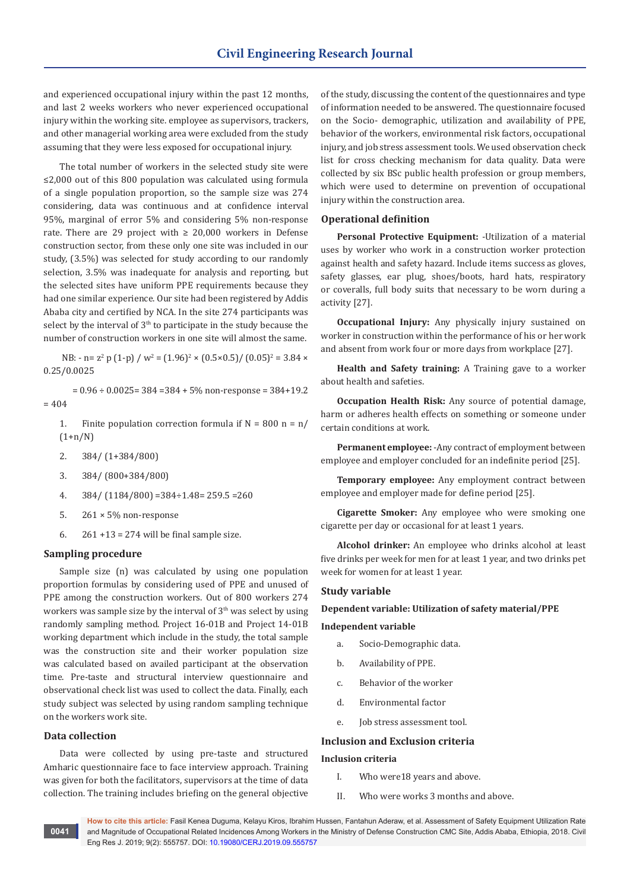and experienced occupational injury within the past 12 months, and last 2 weeks workers who never experienced occupational injury within the working site. employee as supervisors, trackers, and other managerial working area were excluded from the study assuming that they were less exposed for occupational injury.

The total number of workers in the selected study site were ≤2,000 out of this 800 population was calculated using formula of a single population proportion, so the sample size was 274 considering, data was continuous and at confidence interval 95%, marginal of error 5% and considering 5% non-response rate. There are 29 project with  $\geq 20,000$  workers in Defense construction sector, from these only one site was included in our study, (3.5%) was selected for study according to our randomly selection, 3.5% was inadequate for analysis and reporting, but the selected sites have uniform PPE requirements because they had one similar experience. Our site had been registered by Addis Ababa city and certified by NCA. In the site 274 participants was select by the interval of 3<sup>th</sup> to participate in the study because the number of construction workers in one site will almost the same.

NB:  $-$  n=  $z^2$  p (1-p) / w<sup>2</sup> = (1.96)<sup>2</sup> × (0.5×0.5)/ (0.05)<sup>2</sup> = 3.84 × 0.25/0.0025

 $= 0.96 \div 0.0025 = 384 = 384 + 5\%$  non-response = 384+19.2  $= 404$ 

- 1. Finite population correction formula if  $N = 800$  n = n/  $(1+n/N)$
- 2. 384/ (1+384/800)
- 3. 384/ (800+384/800)
- 4.  $384/(1184/800) = 384 \div 1.48 = 259.5 = 260$
- 5. 261 × 5% non-response
- 6.  $261 + 13 = 274$  will be final sample size.

## **Sampling procedure**

Sample size (n) was calculated by using one population proportion formulas by considering used of PPE and unused of PPE among the construction workers. Out of 800 workers 274 workers was sample size by the interval of  $3<sup>th</sup>$  was select by using randomly sampling method. Project 16-01B and Project 14-01B working department which include in the study, the total sample was the construction site and their worker population size was calculated based on availed participant at the observation time. Pre-taste and structural interview questionnaire and observational check list was used to collect the data. Finally, each study subject was selected by using random sampling technique on the workers work site.

#### **Data collection**

Data were collected by using pre-taste and structured Amharic questionnaire face to face interview approach. Training was given for both the facilitators, supervisors at the time of data collection. The training includes briefing on the general objective of the study, discussing the content of the questionnaires and type of information needed to be answered. The questionnaire focused on the Socio- demographic, utilization and availability of PPE, behavior of the workers, environmental risk factors, occupational injury, and job stress assessment tools. We used observation check list for cross checking mechanism for data quality. Data were collected by six BSc public health profession or group members, which were used to determine on prevention of occupational injury within the construction area.

#### **Operational definition**

**Personal Protective Equipment:** -Utilization of a material uses by worker who work in a construction worker protection against health and safety hazard. Include items success as gloves, safety glasses, ear plug, shoes/boots, hard hats, respiratory or coveralls, full body suits that necessary to be worn during a activity [27].

**Occupational Injury:** Any physically injury sustained on worker in construction within the performance of his or her work and absent from work four or more days from workplace [27].

**Health and Safety training:** A Training gave to a worker about health and safeties.

**Occupation Health Risk:** Any source of potential damage, harm or adheres health effects on something or someone under certain conditions at work.

**Permanent employee:** -Any contract of employment between employee and employer concluded for an indefinite period [25].

**Temporary employee:** Any employment contract between employee and employer made for define period [25].

**Cigarette Smoker:** Any employee who were smoking one cigarette per day or occasional for at least 1 years.

**Alcohol drinker:** An employee who drinks alcohol at least five drinks per week for men for at least 1 year, and two drinks pet week for women for at least 1 year.

#### **Study variable**

# **Dependent variable: Utilization of safety material/PPE**

## **Independent variable**

- a. Socio-Demographic data.
- b. Availability of PPE.
- c. Behavior of the worker
- d. Environmental factor
- e. Job stress assessment tool.

#### **Inclusion and Exclusion criteria**

#### **Inclusion criteria**

- I. Who were18 years and above.
- II. Who were works 3 months and above.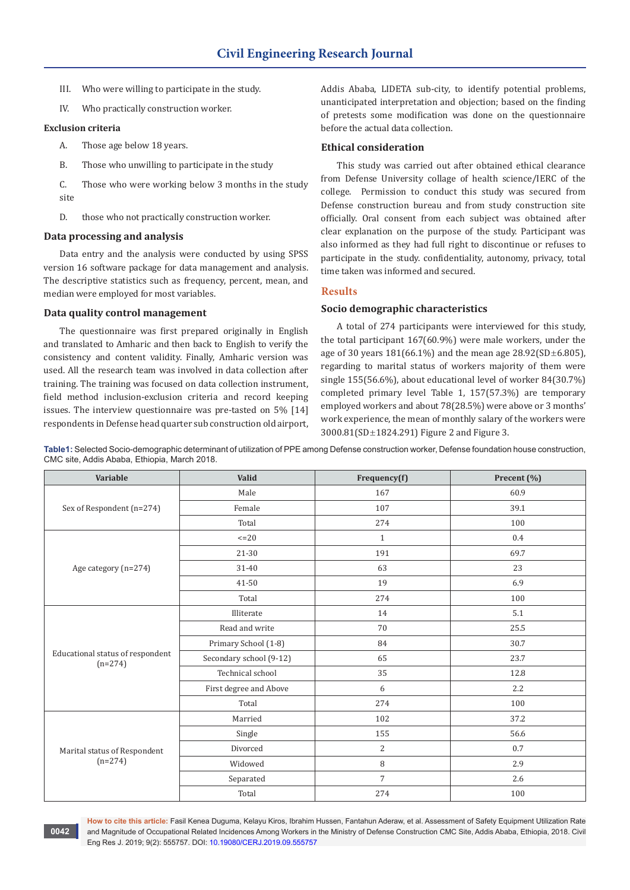- III. Who were willing to participate in the study.
- IV. Who practically construction worker.

## **Exclusion criteria**

**0042**

- A. Those age below 18 years.
- B. Those who unwilling to participate in the study
- C. Those who were working below 3 months in the study site
- D. those who not practically construction worker.

#### **Data processing and analysis**

Data entry and the analysis were conducted by using SPSS version 16 software package for data management and analysis. The descriptive statistics such as frequency, percent, mean, and median were employed for most variables.

#### **Data quality control management**

The questionnaire was first prepared originally in English and translated to Amharic and then back to English to verify the consistency and content validity. Finally, Amharic version was used. All the research team was involved in data collection after training. The training was focused on data collection instrument, field method inclusion-exclusion criteria and record keeping issues. The interview questionnaire was pre-tasted on 5% [14] respondents in Defense head quarter sub construction old airport,

Addis Ababa, LIDETA sub-city, to identify potential problems, unanticipated interpretation and objection; based on the finding of pretests some modification was done on the questionnaire before the actual data collection.

# **Ethical consideration**

This study was carried out after obtained ethical clearance from Defense University collage of health science/IERC of the college. Permission to conduct this study was secured from Defense construction bureau and from study construction site officially. Oral consent from each subject was obtained after clear explanation on the purpose of the study. Participant was also informed as they had full right to discontinue or refuses to participate in the study. confidentiality, autonomy, privacy, total time taken was informed and secured.

#### **Results**

# **Socio demographic characteristics**

A total of 274 participants were interviewed for this study, the total participant 167(60.9%) were male workers, under the age of 30 years  $181(66.1\%)$  and the mean age  $28.92(SD \pm 6.805)$ , regarding to marital status of workers majority of them were single 155(56.6%), about educational level of worker 84(30.7%) completed primary level Table 1, 157(57.3%) are temporary employed workers and about 78(28.5%) were above or 3 months' work experience, the mean of monthly salary of the workers were 3000.81(SD±1824.291) Figure 2 and Figure 3.

**Table1:** Selected Socio-demographic determinant of utilization of PPE among Defense construction worker, Defense foundation house construction, CMC site, Addis Ababa, Ethiopia, March 2018.

| Variable                                      | Valid                   | Frequency(f)   | Precent (%)      |
|-----------------------------------------------|-------------------------|----------------|------------------|
|                                               | Male                    | 167            | 60.9             |
| Sex of Respondent (n=274)                     | Female                  | 107            | 39.1             |
|                                               | Total                   | 274            | 100              |
|                                               | $\leq$ = 20             | $\mathbf{1}$   | 0.4              |
|                                               | 21-30                   | 191            | 69.7             |
| Age category (n=274)                          | 31-40                   | 63             | 23               |
|                                               | 41-50                   | 19             | 6.9              |
|                                               | Total                   | 274            | 100              |
|                                               | Illiterate              | 14             | 5.1              |
|                                               | Read and write          | 70             | 25.5             |
|                                               | Primary School (1-8)    | 84             | 30.7             |
| Educational status of respondent<br>$(n=274)$ | Secondary school (9-12) | 65             | 23.7             |
|                                               | Technical school        | 35             | 12.8             |
|                                               | First degree and Above  | 6              | $2.2\phantom{0}$ |
|                                               | Total                   | 274            | 100              |
|                                               | Married                 | 102            | 37.2             |
|                                               | Single                  | 155            | 56.6             |
| Marital status of Respondent<br>$(n=274)$     | Divorced                | $\overline{2}$ | 0.7              |
|                                               | Widowed                 | $\, 8$         | 2.9              |
|                                               | Separated               | $\overline{7}$ | 2.6              |
|                                               | Total                   | 274            | 100              |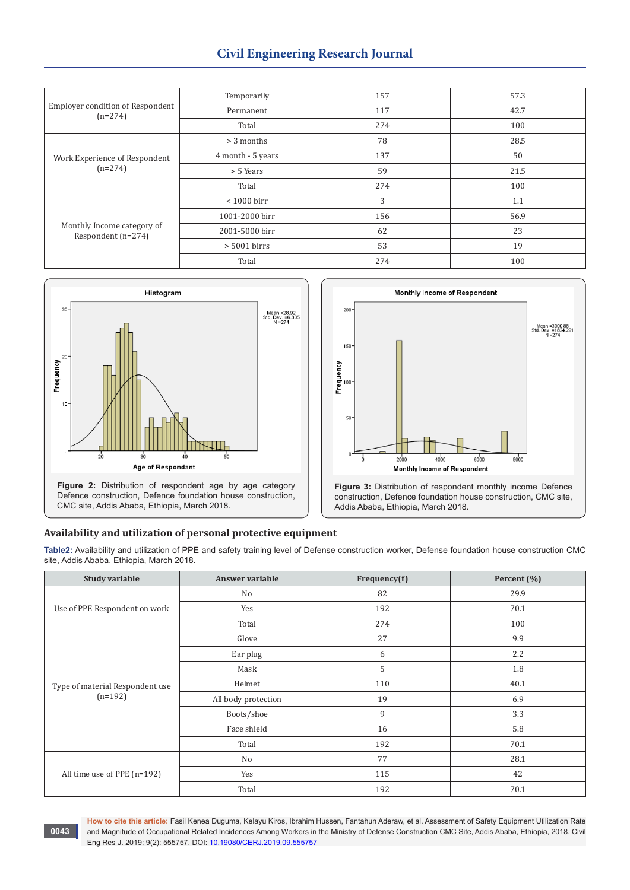# **Civil Engineering Research Journal**

| <b>Employer condition of Respondent</b><br>$(n=274)$ | Temporarily       | 157 | 57.3 |
|------------------------------------------------------|-------------------|-----|------|
|                                                      | Permanent         | 117 | 42.7 |
|                                                      | Total             | 274 | 100  |
| Work Experience of Respondent<br>$(n=274)$           | $> 3$ months      | 78  | 28.5 |
|                                                      | 4 month - 5 years | 137 | 50   |
|                                                      | > 5 Years         | 59  | 21.5 |
|                                                      | Total             | 274 | 100  |
| Monthly Income category of<br>Respondent (n=274)     | $< 1000$ birr     | 3   | 1.1  |
|                                                      | 1001-2000 birr    | 156 | 56.9 |
|                                                      | 2001-5000 birr    | 62  | 23   |
|                                                      | $> 5001$ birrs    | 53  | 19   |
|                                                      | Total             | 274 | 100  |





# **Availability and utilization of personal protective equipment**

**Table2:** Availability and utilization of PPE and safety training level of Defense construction worker, Defense foundation house construction CMC site, Addis Ababa, Ethiopia, March 2018.

| <b>Study variable</b>           | Answer variable     | Frequency(f) | Percent (%)      |
|---------------------------------|---------------------|--------------|------------------|
| Use of PPE Respondent on work   | No                  | 82           | 29.9             |
|                                 | Yes                 | 192          | 70.1             |
|                                 | Total               | 274          | 100              |
|                                 | Glove               | 27           | 9.9              |
|                                 | Ear plug            | 6            | $2.2\phantom{0}$ |
|                                 | Mask                | 5            | 1.8              |
| Type of material Respondent use | Helmet              | 110          | 40.1             |
| $(n=192)$                       | All body protection | 19           | 6.9              |
|                                 | Boots/shoe          | 9            | 3.3              |
|                                 | Face shield         | 16           | 5.8              |
|                                 | Total               | 192          | 70.1             |
| All time use of PPE (n=192)     | No                  | 77           | 28.1             |
|                                 | Yes                 | 115          | 42               |
|                                 | Total               | 192          | 70.1             |

**0043**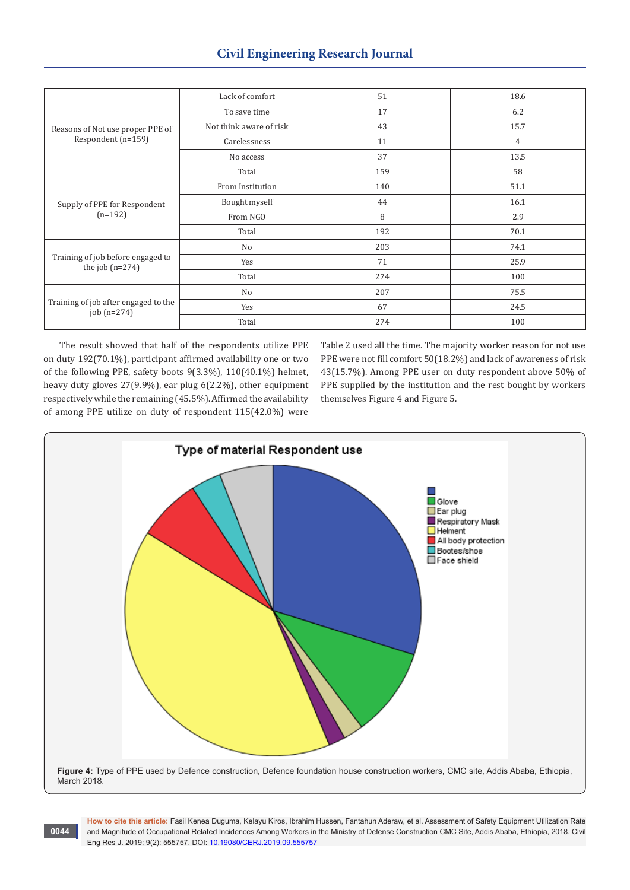| Reasons of Not use proper PPE of<br>Respondent (n=159) | Lack of comfort         | 51  | 18.6           |
|--------------------------------------------------------|-------------------------|-----|----------------|
|                                                        | To save time            | 17  | 6.2            |
|                                                        | Not think aware of risk | 43  | 15.7           |
|                                                        | Carelessness            | 11  | $\overline{4}$ |
|                                                        | No access               | 37  | 13.5           |
|                                                        | Total                   | 159 | 58             |
| Supply of PPE for Respondent<br>$(n=192)$              | From Institution        | 140 | 51.1           |
|                                                        | Bought myself           | 44  | 16.1           |
|                                                        | From NGO                | 8   | 2.9            |
|                                                        | Total                   | 192 | 70.1           |
| Training of job before engaged to<br>the job $(n=274)$ | No                      | 203 | 74.1           |
|                                                        | Yes                     | 71  | 25.9           |
|                                                        | Total                   | 274 | 100            |
| Training of job after engaged to the<br>job (n=274)    | No                      | 207 | 75.5           |
|                                                        | Yes                     | 67  | 24.5           |
|                                                        | Total                   | 274 | 100            |

The result showed that half of the respondents utilize PPE on duty 192(70.1%), participant affirmed availability one or two of the following PPE, safety boots 9(3.3%), 110(40.1%) helmet, heavy duty gloves 27(9.9%), ear plug 6(2.2%), other equipment respectively while the remaining (45.5%). Affirmed the availability of among PPE utilize on duty of respondent 115(42.0%) were

**0044**

Table 2 used all the time. The majority worker reason for not use PPE were not fill comfort 50(18.2%) and lack of awareness of risk 43(15.7%). Among PPE user on duty respondent above 50% of PPE supplied by the institution and the rest bought by workers themselves Figure 4 and Figure 5.

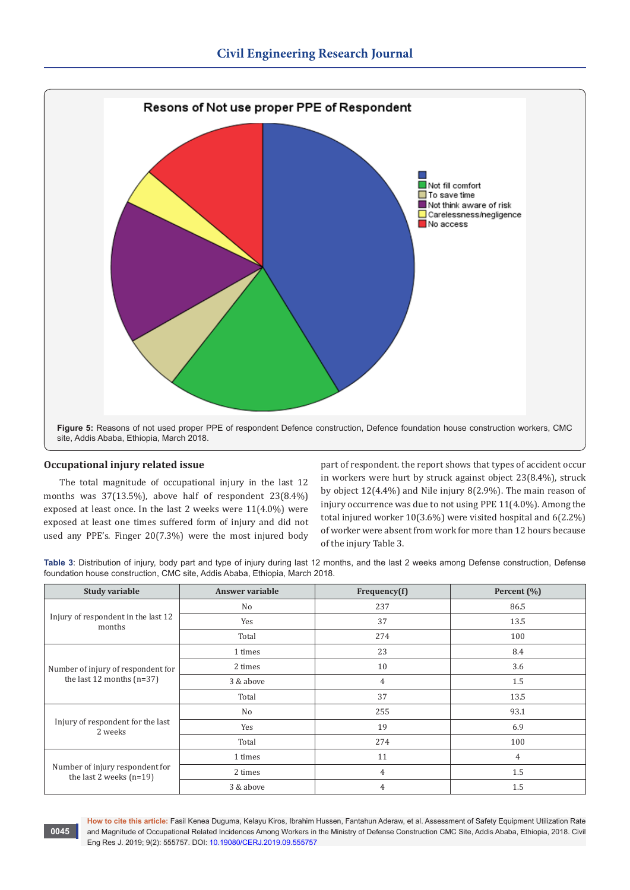

## **Occupational injury related issue**

The total magnitude of occupational injury in the last 12 months was 37(13.5%), above half of respondent 23(8.4%) exposed at least once. In the last 2 weeks were 11(4.0%) were exposed at least one times suffered form of injury and did not used any PPE's. Finger 20(7.3%) were the most injured body

part of respondent. the report shows that types of accident occur in workers were hurt by struck against object 23(8.4%), struck by object 12(4.4%) and Nile injury 8(2.9%). The main reason of injury occurrence was due to not using PPE 11(4.0%). Among the total injured worker 10(3.6%) were visited hospital and 6(2.2%) of worker were absent from work for more than 12 hours because of the injury Table 3.

**Table 3**: Distribution of injury, body part and type of injury during last 12 months, and the last 2 weeks among Defense construction, Defense foundation house construction, CMC site, Addis Ababa, Ethiopia, March 2018.

| <b>Study variable</b>                                             | Answer variable | Frequency(f) | Percent $(\% )$ |
|-------------------------------------------------------------------|-----------------|--------------|-----------------|
| Injury of respondent in the last 12<br>months                     | No              | 237          | 86.5            |
|                                                                   | Yes             | 37           | 13.5            |
|                                                                   | Total           | 274          | 100             |
|                                                                   | 1 times         | 23           | 8.4             |
| Number of injury of respondent for<br>the last 12 months $(n=37)$ | 2 times         | 10           | 3.6             |
|                                                                   | 3 & above       | 4            | 1.5             |
|                                                                   | Total           | 37           | 13.5            |
|                                                                   | No              | 255          | 93.1            |
| Injury of respondent for the last<br>2 weeks                      | Yes             | 19           | 6.9             |
|                                                                   | Total           | 274          | 100             |
| Number of injury respondent for<br>the last 2 weeks $(n=19)$      | 1 times         | 11           | 4               |
|                                                                   | 2 times         | 4            | 1.5             |
|                                                                   | 3 & above       | 4            | 1.5             |

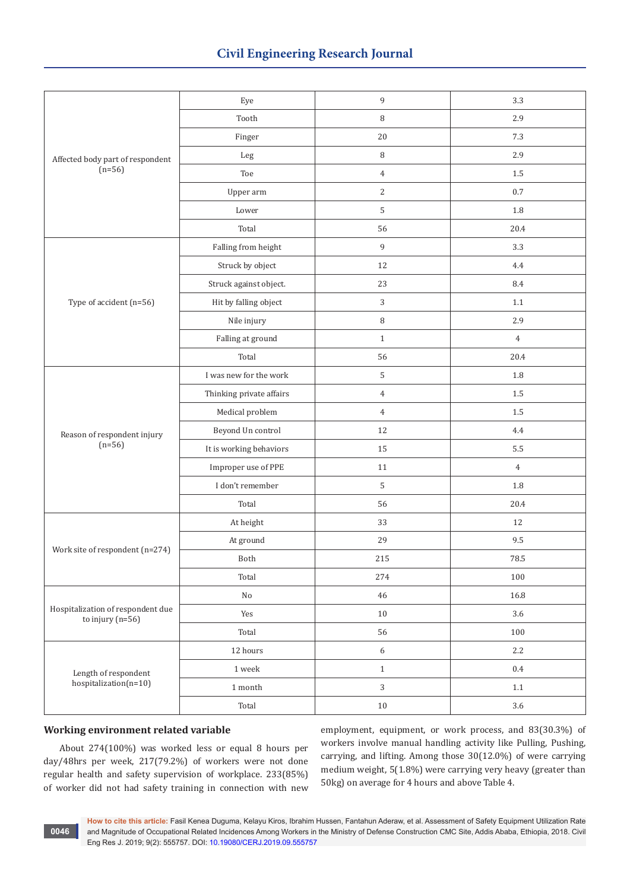| Affected body part of respondent                        | Eye                      | 9                | 3.3            |
|---------------------------------------------------------|--------------------------|------------------|----------------|
|                                                         | Tooth                    | $\, 8$           | 2.9            |
|                                                         | Finger                   | $20\,$           | $7.3\,$        |
|                                                         | Leg                      | $\, 8$           | 2.9            |
| $(n=56)$                                                | Toe                      | $\overline{4}$   | $1.5\,$        |
|                                                         | Upper arm                | $\overline{c}$   | $0.7\,$        |
|                                                         | Lower                    | 5                | 1.8            |
|                                                         | Total                    | 56               | 20.4           |
|                                                         | Falling from height      | 9                | 3.3            |
|                                                         | Struck by object         | 12               | 4.4            |
|                                                         | Struck against object.   | 23               | 8.4            |
| Type of accident (n=56)                                 | Hit by falling object    | 3                | $1.1\,$        |
|                                                         | Nile injury              | $\, 8$           | 2.9            |
|                                                         | Falling at ground        | $\mathbf{1}$     | $\overline{4}$ |
|                                                         | Total                    | 56               | 20.4           |
|                                                         | I was new for the work   | 5                | 1.8            |
|                                                         | Thinking private affairs | $\,4\,$          | $1.5\,$        |
|                                                         | Medical problem          | $\overline{4}$   | $1.5\,$        |
| Reason of respondent injury                             | Beyond Un control        | 12               | 4.4            |
| $(n=56)$                                                | It is working behaviors  | 15               | 5.5            |
|                                                         | Improper use of PPE      | 11               | $\overline{4}$ |
|                                                         | I don't remember         | 5                | 1.8            |
|                                                         | Total                    | 56               | 20.4           |
|                                                         | At height                | 33               | 12             |
| Work site of respondent (n=274)                         | At ground                | 29               | 9.5            |
|                                                         | Both                     | 215              | 78.5           |
|                                                         | Total                    | 274              | 100            |
|                                                         | $\rm No$                 | 46               | 16.8           |
| Hospitalization of respondent due<br>to injury $(n=56)$ | Yes                      | $10\,$           | 3.6            |
|                                                         | Total                    | 56               | 100            |
|                                                         | 12 hours                 | $\boldsymbol{6}$ | 2.2            |
| Length of respondent                                    | $1\,\rm{week}$           | $\,1\,$          | $0.4\,$        |
| $hospitalization(n=10)$                                 | $1\ \mathrm{month}$      | $\overline{3}$   | 1.1            |
|                                                         | Total                    | $10\,$           | $3.6\,$        |

# **Working environment related variable**

About 274(100%) was worked less or equal 8 hours per day/48hrs per week, 217(79.2%) of workers were not done regular health and safety supervision of workplace. 233(85%) of worker did not had safety training in connection with new employment, equipment, or work process, and 83(30.3%) of workers involve manual handling activity like Pulling, Pushing, carrying, and lifting. Among those 30(12.0%) of were carrying medium weight, 5(1.8%) were carrying very heavy (greater than 50kg) on average for 4 hours and above Table 4.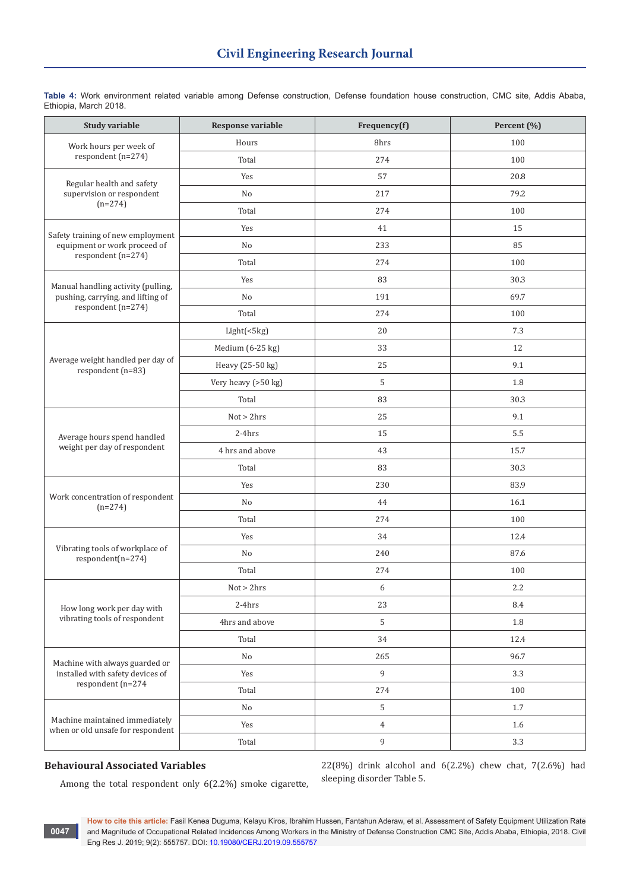| <b>Study variable</b>                                               | Response variable   | Frequency(f) | Percent (%) |
|---------------------------------------------------------------------|---------------------|--------------|-------------|
| Work hours per week of<br>respondent (n=274)                        | Hours               | 8hrs         | 100         |
|                                                                     | Total               | 274          | 100         |
| Regular health and safety<br>supervision or respondent              | Yes                 | 57           | 20.8        |
|                                                                     | No                  | 217          | 79.2        |
| $(n=274)$                                                           | Total               | 274          | 100         |
| Safety training of new employment                                   | Yes                 | 41           | 15          |
| equipment or work proceed of                                        | No                  | 233          | 85          |
| respondent (n=274)                                                  | Total               | 274          | 100         |
| Manual handling activity (pulling,                                  | Yes                 | 83           | 30.3        |
| pushing, carrying, and lifting of                                   | No                  | 191          | 69.7        |
| respondent (n=274)                                                  | Total               | 274          | 100         |
|                                                                     | Light(<5kg)         | 20           | 7.3         |
|                                                                     | Medium (6-25 kg)    | 33           | 12          |
| Average weight handled per day of<br>respondent (n=83)              | Heavy (25-50 kg)    | 25           | 9.1         |
|                                                                     | Very heavy (>50 kg) | 5            | 1.8         |
|                                                                     | Total               | 83           | 30.3        |
|                                                                     | Not > 2hrs          | 25           | 9.1         |
| Average hours spend handled                                         | $2-4hrs$            | 15           | 5.5         |
| weight per day of respondent                                        | 4 hrs and above     | 43           | 15.7        |
|                                                                     | Total               | 83           | 30.3        |
|                                                                     | Yes                 | 230          | 83.9        |
| Work concentration of respondent<br>$(n=274)$                       | No                  | 44           | 16.1        |
|                                                                     | Total               | 274          | 100         |
|                                                                     | Yes                 | 34           | 12.4        |
| Vibrating tools of workplace of<br>$respondent(n=274)$              | No                  | 240          | 87.6        |
|                                                                     | Total               | 274          | 100         |
|                                                                     | Not > 2hrs          | 6            | 2.2         |
| How long work per day with                                          | $2-4hrs$            | 23           | 8.4         |
| vibrating tools of respondent                                       | 4hrs and above      | 5            | 1.8         |
|                                                                     | Total               | 34           | 12.4        |
| Machine with always guarded or                                      | $\rm No$            | 265          | 96.7        |
| installed with safety devices of                                    | Yes                 | 9            | 3.3         |
| respondent (n=274                                                   | Total               | 274          | 100         |
|                                                                     | No                  | $\mathsf S$  | 1.7         |
| Machine maintained immediately<br>when or old unsafe for respondent | Yes                 | $\,4\,$      | 1.6         |
|                                                                     | Total               | 9            | 3.3         |

**Table 4:** Work environment related variable among Defense construction, Defense foundation house construction, CMC site, Addis Ababa, Ethiopia, March 2018.

## **Behavioural Associated Variables**

**0047**

22(8%) drink alcohol and 6(2.2%) chew chat, 7(2.6%) had sleeping disorder Table 5.

Among the total respondent only 6(2.2%) smoke cigarette,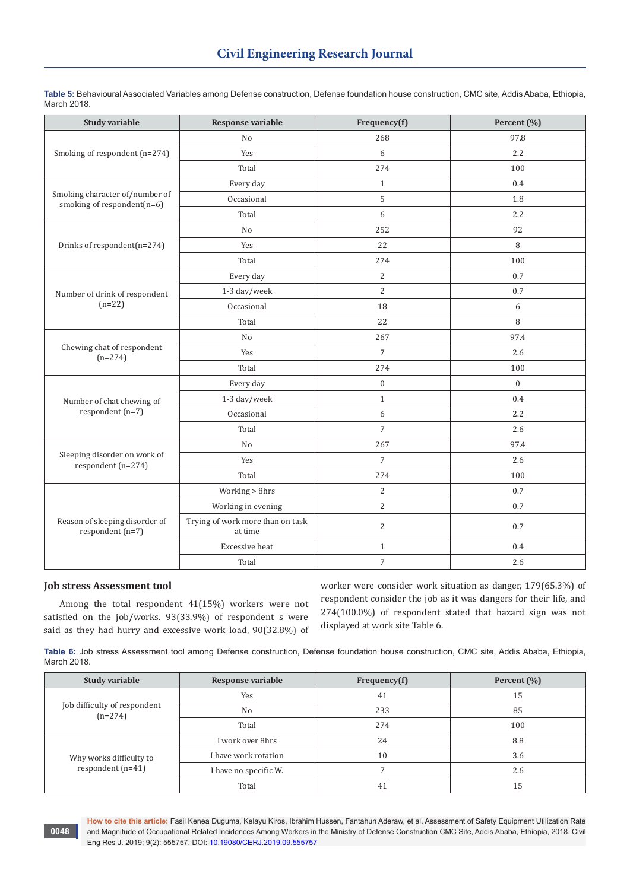| <b>Study variable</b>                                        | <b>Response variable</b>                    | Frequency(f)     | Percent (%)      |
|--------------------------------------------------------------|---------------------------------------------|------------------|------------------|
| Smoking of respondent (n=274)                                | No                                          | 268              | 97.8             |
|                                                              | Yes                                         | 6                | 2.2              |
|                                                              | Total                                       | 274              | 100              |
|                                                              | Every day                                   | $\mathbf{1}$     | 0.4              |
| Smoking character of/number of<br>smoking of respondent(n=6) | Occasional                                  | 5                | 1.8              |
|                                                              | Total                                       | 6                | 2.2              |
|                                                              | No                                          | 252              | 92               |
| Drinks of respondent(n=274)                                  | Yes                                         | 22               | 8                |
|                                                              | Total                                       | 274              | 100              |
|                                                              | Every day                                   | $\overline{c}$   | 0.7              |
| Number of drink of respondent                                | 1-3 day/week                                | $\overline{2}$   | 0.7              |
| $(n=22)$                                                     | Occasional                                  | 18               | 6                |
|                                                              | Total                                       | 22               | 8                |
|                                                              | N <sub>o</sub>                              | 267              | 97.4             |
| Chewing chat of respondent<br>$(n=274)$                      | Yes                                         | $\overline{7}$   | 2.6              |
|                                                              | Total                                       | 274              | 100              |
|                                                              | Every day                                   | $\boldsymbol{0}$ | $\boldsymbol{0}$ |
| Number of chat chewing of                                    | 1-3 day/week                                | $\mathbf{1}$     | 0.4              |
| respondent (n=7)                                             | Occasional                                  | 6                | 2.2              |
|                                                              | Total                                       | $\overline{7}$   | 2.6              |
|                                                              | No                                          | 267              | 97.4             |
| Sleeping disorder on work of<br>respondent (n=274)           | Yes                                         | $\overline{7}$   | 2.6              |
|                                                              | Total                                       | 274              | 100              |
| Reason of sleeping disorder of<br>respondent (n=7)           | Working > 8hrs                              | $\overline{2}$   | 0.7              |
|                                                              | Working in evening                          | $\sqrt{2}$       | 0.7              |
|                                                              | Trying of work more than on task<br>at time | $\overline{2}$   | 0.7              |
|                                                              | Excessive heat                              | $\mathbf{1}$     | 0.4              |
|                                                              | Total                                       | $\overline{7}$   | 2.6              |

**Table 5:** Behavioural Associated Variables among Defense construction, Defense foundation house construction, CMC site, Addis Ababa, Ethiopia, March 2018.

# **Job stress Assessment tool**

**0048**

Among the total respondent 41(15%) workers were not satisfied on the job/works. 93(33.9%) of respondent s were said as they had hurry and excessive work load, 90(32.8%) of worker were consider work situation as danger, 179(65.3%) of respondent consider the job as it was dangers for their life, and 274(100.0%) of respondent stated that hazard sign was not displayed at work site Table 6.

**Table 6:** Job stress Assessment tool among Defense construction, Defense foundation house construction, CMC site, Addis Ababa, Ethiopia, March 2018.

| Study variable                                 | <b>Response variable</b> | Frequency(f) | Percent (%) |
|------------------------------------------------|--------------------------|--------------|-------------|
| Job difficulty of respondent<br>$(n=274)$      | Yes                      | 41           | 15          |
|                                                | N <sub>0</sub>           | 233          | 85          |
|                                                | Total                    | 274          | 100         |
| Why works difficulty to<br>respondent $(n=41)$ | I work over 8hrs         | 24           | 8.8         |
|                                                | I have work rotation     | 10           | 3.6         |
|                                                | I have no specific W.    |              | 2.6         |
|                                                | Total                    | 41           | 15          |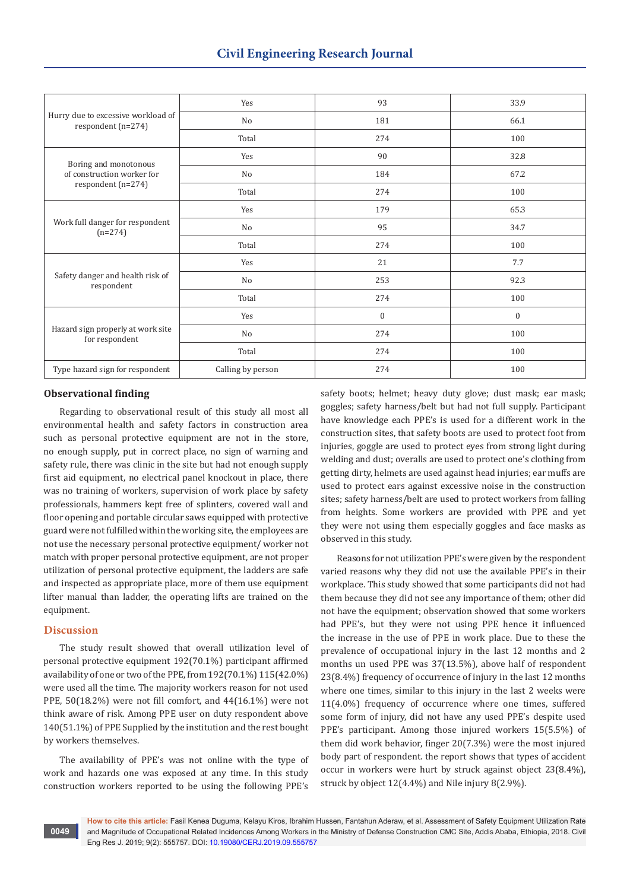| Hurry due to excessive workload of<br>respondent (n=274) | Yes               | 93           | 33.9             |
|----------------------------------------------------------|-------------------|--------------|------------------|
|                                                          | No                | 181          | 66.1             |
|                                                          | Total             | 274          | 100              |
| Boring and monotonous                                    | Yes               | 90           | 32.8             |
| of construction worker for                               | No                | 184          | 67.2             |
| respondent (n=274)                                       | Total             | 274          | 100              |
| Work full danger for respondent<br>$(n=274)$             | Yes               | 179          | 65.3             |
|                                                          | No                | 95           | 34.7             |
|                                                          | Total             | 274          | 100              |
|                                                          | Yes               | 21           | 7.7              |
| Safety danger and health risk of<br>respondent           | No                | 253          | 92.3             |
|                                                          | Total             | 274          | 100              |
| Hazard sign properly at work site<br>for respondent      | Yes               | $\mathbf{0}$ | $\boldsymbol{0}$ |
|                                                          | No                | 274          | 100              |
|                                                          | Total             | 274          | 100              |
| Type hazard sign for respondent                          | Calling by person | 274          | 100              |

#### **Observational finding**

Regarding to observational result of this study all most all environmental health and safety factors in construction area such as personal protective equipment are not in the store, no enough supply, put in correct place, no sign of warning and safety rule, there was clinic in the site but had not enough supply first aid equipment, no electrical panel knockout in place, there was no training of workers, supervision of work place by safety professionals, hammers kept free of splinters, covered wall and floor opening and portable circular saws equipped with protective guard were not fulfilled within the working site, the employees are not use the necessary personal protective equipment/ worker not match with proper personal protective equipment, are not proper utilization of personal protective equipment, the ladders are safe and inspected as appropriate place, more of them use equipment lifter manual than ladder, the operating lifts are trained on the equipment.

#### **Discussion**

The study result showed that overall utilization level of personal protective equipment 192(70.1%) participant affirmed availability of one or two of the PPE, from 192(70.1%) 115(42.0%) were used all the time. The majority workers reason for not used PPE, 50(18.2%) were not fill comfort, and 44(16.1%) were not think aware of risk. Among PPE user on duty respondent above 140(51.1%) of PPE Supplied by the institution and the rest bought by workers themselves.

The availability of PPE's was not online with the type of work and hazards one was exposed at any time. In this study construction workers reported to be using the following PPE's

safety boots; helmet; heavy duty glove; dust mask; ear mask; goggles; safety harness/belt but had not full supply. Participant have knowledge each PPE's is used for a different work in the construction sites, that safety boots are used to protect foot from injuries, goggle are used to protect eyes from strong light during welding and dust; overalls are used to protect one's clothing from getting dirty, helmets are used against head injuries; ear muffs are used to protect ears against excessive noise in the construction sites; safety harness/belt are used to protect workers from falling from heights. Some workers are provided with PPE and yet they were not using them especially goggles and face masks as observed in this study.

Reasons for not utilization PPE's were given by the respondent varied reasons why they did not use the available PPE's in their workplace. This study showed that some participants did not had them because they did not see any importance of them; other did not have the equipment; observation showed that some workers had PPE's, but they were not using PPE hence it influenced the increase in the use of PPE in work place. Due to these the prevalence of occupational injury in the last 12 months and 2 months un used PPE was 37(13.5%), above half of respondent 23(8.4%) frequency of occurrence of injury in the last 12 months where one times, similar to this injury in the last 2 weeks were 11(4.0%) frequency of occurrence where one times, suffered some form of injury, did not have any used PPE's despite used PPE's participant. Among those injured workers 15(5.5%) of them did work behavior, finger 20(7.3%) were the most injured body part of respondent. the report shows that types of accident occur in workers were hurt by struck against object 23(8.4%), struck by object 12(4.4%) and Nile injury 8(2.9%).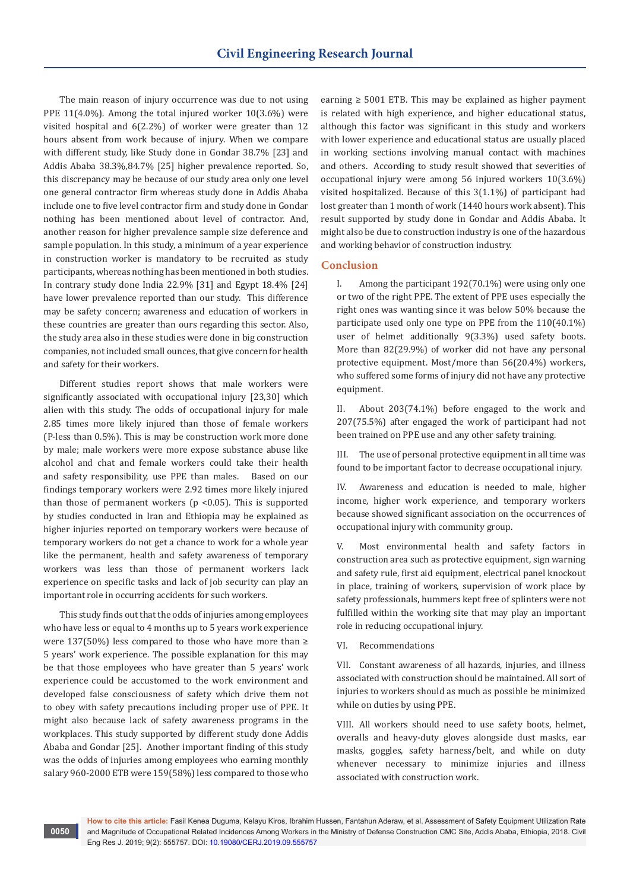The main reason of injury occurrence was due to not using PPE 11(4.0%). Among the total injured worker 10(3.6%) were visited hospital and 6(2.2%) of worker were greater than 12 hours absent from work because of injury. When we compare with different study, like Study done in Gondar 38.7% [23] and Addis Ababa 38.3%,84.7% [25] higher prevalence reported. So, this discrepancy may be because of our study area only one level one general contractor firm whereas study done in Addis Ababa include one to five level contractor firm and study done in Gondar nothing has been mentioned about level of contractor. And, another reason for higher prevalence sample size deference and sample population. In this study, a minimum of a year experience in construction worker is mandatory to be recruited as study participants, whereas nothing has been mentioned in both studies. In contrary study done India 22.9% [31] and Egypt 18.4% [24] have lower prevalence reported than our study. This difference may be safety concern; awareness and education of workers in these countries are greater than ours regarding this sector. Also, the study area also in these studies were done in big construction companies, not included small ounces, that give concern for health and safety for their workers.

Different studies report shows that male workers were significantly associated with occupational injury [23,30] which alien with this study. The odds of occupational injury for male 2.85 times more likely injured than those of female workers (P-less than 0.5%). This is may be construction work more done by male; male workers were more expose substance abuse like alcohol and chat and female workers could take their health and safety responsibility, use PPE than males. Based on our findings temporary workers were 2.92 times more likely injured than those of permanent workers ( $p$  <0.05). This is supported by studies conducted in Iran and Ethiopia may be explained as higher injuries reported on temporary workers were because of temporary workers do not get a chance to work for a whole year like the permanent, health and safety awareness of temporary workers was less than those of permanent workers lack experience on specific tasks and lack of job security can play an important role in occurring accidents for such workers.

This study finds out that the odds of injuries among employees who have less or equal to 4 months up to 5 years work experience were 137(50%) less compared to those who have more than ≥ 5 years' work experience. The possible explanation for this may be that those employees who have greater than 5 years' work experience could be accustomed to the work environment and developed false consciousness of safety which drive them not to obey with safety precautions including proper use of PPE. It might also because lack of safety awareness programs in the workplaces. This study supported by different study done Addis Ababa and Gondar [25]. Another important finding of this study was the odds of injuries among employees who earning monthly salary 960-2000 ETB were 159(58%) less compared to those who

earning  $\geq$  5001 ETB. This may be explained as higher payment is related with high experience, and higher educational status, although this factor was significant in this study and workers with lower experience and educational status are usually placed in working sections involving manual contact with machines and others. According to study result showed that severities of occupational injury were among 56 injured workers 10(3.6%) visited hospitalized. Because of this 3(1.1%) of participant had lost greater than 1 month of work (1440 hours work absent). This result supported by study done in Gondar and Addis Ababa. It might also be due to construction industry is one of the hazardous and working behavior of construction industry.

# **Conclusion**

I. Among the participant 192(70.1%) were using only one or two of the right PPE. The extent of PPE uses especially the right ones was wanting since it was below 50% because the participate used only one type on PPE from the 110(40.1%) user of helmet additionally 9(3.3%) used safety boots. More than 82(29.9%) of worker did not have any personal protective equipment. Most/more than 56(20.4%) workers, who suffered some forms of injury did not have any protective equipment.

II. About 203(74.1%) before engaged to the work and 207(75.5%) after engaged the work of participant had not been trained on PPE use and any other safety training.

III. The use of personal protective equipment in all time was found to be important factor to decrease occupational injury.

IV. Awareness and education is needed to male, higher income, higher work experience, and temporary workers because showed significant association on the occurrences of occupational injury with community group.

V. Most environmental health and safety factors in construction area such as protective equipment, sign warning and safety rule, first aid equipment, electrical panel knockout in place, training of workers, supervision of work place by safety professionals, hummers kept free of splinters were not fulfilled within the working site that may play an important role in reducing occupational injury.

VI. Recommendations

VII. Constant awareness of all hazards, injuries, and illness associated with construction should be maintained. All sort of injuries to workers should as much as possible be minimized while on duties by using PPE.

VIII. All workers should need to use safety boots, helmet, overalls and heavy-duty gloves alongside dust masks, ear masks, goggles, safety harness/belt, and while on duty whenever necessary to minimize injuries and illness associated with construction work.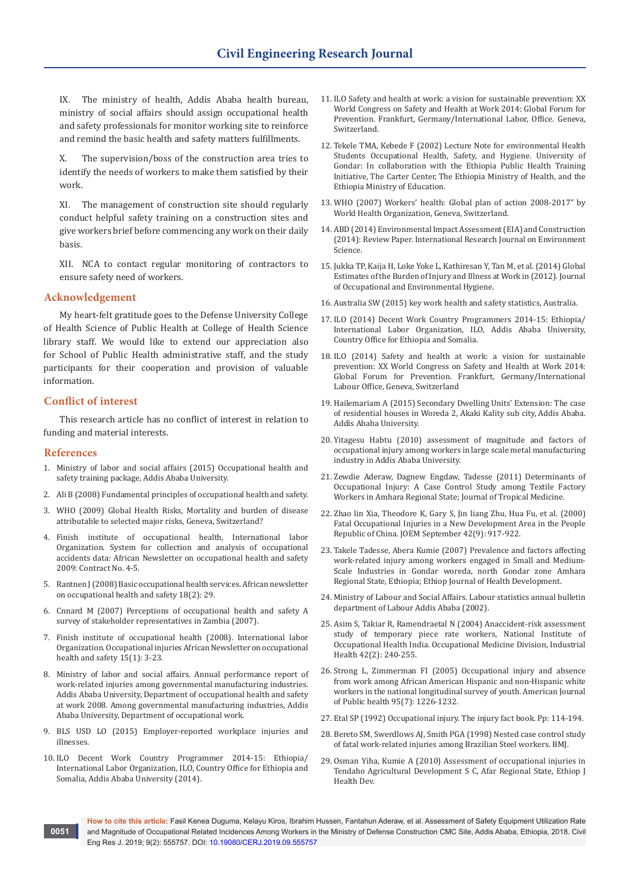IX. The ministry of health, Addis Ababa health bureau, ministry of social affairs should assign occupational health and safety professionals for monitor working site to reinforce and remind the basic health and safety matters fulfillments.

X. The supervision/boss of the construction area tries to identify the needs of workers to make them satisfied by their work.

XI. The management of construction site should regularly conduct helpful safety training on a construction sites and give workers brief before commencing any work on their daily basis.

XII. NCA to contact regular monitoring of contractors to ensure safety need of workers.

# **Acknowledgement**

My heart-felt gratitude goes to the Defense University College of Health Science of Public Health at College of Health Science library staff. We would like to extend our appreciation also for School of Public Health administrative staff, and the study participants for their cooperation and provision of valuable information.

## **Conflict of interest**

This research article has no conflict of interest in relation to funding and material interests.

#### **References**

**0051**

- 1. Ministry of labor and social affairs (2015) Occupational health and safety training package, Addis Ababa University.
- 2. Ali B (2008) Fundamental principles of occupational health and safety.
- 3. WHO (2009) Global Health Risks, Mortality and burden of disease attributable to selected major risks, Geneva, Switzerland?
- 4. Finish institute of occupational health, International labor Organization. System for collection and analysis of occupational accidents data: African Newsletter on occupational health and safety 2009: Contract No. 4-5.
- 5. Rantnen J (2008) Basic occupational health services. African newsletter on occupational health and safety 18(2): 29.
- 6. Cnnard M (2007) Perceptions of occupational health and safety A survey of stakeholder representatives in Zambia (2007).
- 7. Finish institute of occupational health (2008). International labor Organization. Occupational injuries African Newsletter on occupational health and safety 15(1): 3-23.
- 8. Ministry of labor and social affairs. Annual performance report of work-related injuries among governmental manufacturing industries. Addis Ababa University, Department of occupational health and safety at work 2008. Among governmental manufacturing industries, Addis Ababa University, Department of occupational work.
- 9. BLS USD LO (2015) Employer-reported workplace injuries and illnesses.
- 10. ILO Decent Work Country Programmer 2014-15: Ethiopia/ International Labor Organization, ILO, Country Office for Ethiopia and Somalia, Addis Ababa University (2014).
- 11. ILO Safety and health at work: a vision for sustainable prevention: XX World Congress on Safety and Health at Work 2014: Global Forum for Prevention. Frankfurt, Germany/International Labor, Office. Geneva, Switzerland.
- 12. Tekele TMA, Kebede F (2002) Lecture Note for environmental Health Students Occupational Health, Safety, and Hygiene. University of Gondar: In collaboration with the Ethiopia Public Health Training Initiative, The Carter Center, The Ethiopia Ministry of Health, and the Ethiopia Ministry of Education.
- 13. WHO (2007) Workers' health: Global plan of action 2008-2017" by World Health Organization, Geneva, Switzerland.
- 14. ABD (2014) Environmental Impact Assessment (EIA) and Construction (2014): Review Paper. International Research Journal on Environment Science.
- 15. Jukka TP, Kaija H, Loke Yoke L, Kathiresan Y, Tan M, et al. (2014) Global Estimates of the Burden of Injury and Illness at Work in (2012). Journal of Occupational and Environmental Hygiene.
- 16. Australia SW (2015) key work health and safety statistics, Australia.
- 17. ILO (2014) Decent Work Country Programmers 2014-15: Ethiopia/ International Labor Organization, ILO, Addis Ababa University, Country Office for Ethiopia and Somalia.
- 18. ILO (2014) Safety and health at work: a vision for sustainable prevention: XX World Congress on Safety and Health at Work 2014: Global Forum for Prevention. Frankfurt, Germany/International Labour Office, Geneva, Switzerland
- 19. Hailemariam A (2015) Secondary Dwelling Units' Extension: The case of residential houses in Woreda 2, Akaki Kality sub city, Addis Ababa. Addis Ababa University.
- 20. Yitagesu Habtu (2010) assessment of magnitude and factors of occupational injury among workers in large scale metal manufacturing industry in Addis Ababa University.
- 21. Zewdie Aderaw, Dagnew Engdaw, Tadesse (2011) Determinants of Occupational Injury: A Case Control Study among Textile Factory Workers in Amhara Regional State; Journal of Tropical Medicine.
- 22. [Zhao lin Xia, Theodore K, Gary S, Jin liang Zhu, Hua Fu, et al. \(2000\)](https://www.ncbi.nlm.nih.gov/pubmed/10998768)  [Fatal Occupational Injuries in a New Development Area in the People](https://www.ncbi.nlm.nih.gov/pubmed/10998768)  [Republic of China. JOEM September 42\(9\): 917-922.](https://www.ncbi.nlm.nih.gov/pubmed/10998768)
- 23. Takele Tadesse, Abera Kumie (2007) Prevalence and factors affecting work-related injury among workers engaged in Small and Medium-Scale Industries in Gondar woreda, north Gondar zone Amhara Regional State, Ethiopia; Ethiop Journal of Health Development.
- 24. Ministry of Labour and Social Affairs. Labour statistics annual bulletin department of Labour Addis Ababa (2002).
- 25. [Asim S, Takiar R, Ramendraetal N \(2004\) Anaccident-risk assessment](https://www.ncbi.nlm.nih.gov/pubmed/15128175)  [study of temporary piece rate workers, National Institute of](https://www.ncbi.nlm.nih.gov/pubmed/15128175)  [Occupational Health India. Occupational Medicine Division, Industrial](https://www.ncbi.nlm.nih.gov/pubmed/15128175)  [Health 42\(2\): 240-255.](https://www.ncbi.nlm.nih.gov/pubmed/15128175)
- 26. [Strong L, Zimmerman FI \(2005\) Occupational injury and absence](https://www.ncbi.nlm.nih.gov/pubmed/15983275)  [from work among African American Hispanic and non-Hispanic white](https://www.ncbi.nlm.nih.gov/pubmed/15983275)  [workers in the national longitudinal survey of youth. American Journal](https://www.ncbi.nlm.nih.gov/pubmed/15983275)  [of Public health 95\(7\): 1226-1232.](https://www.ncbi.nlm.nih.gov/pubmed/15983275)
- 27. Etal SP (1992) Occupational injury. The injury fact book. Pp: 114-194.
- 28. Bereto SM, Swerdlows AJ, Smith PGA (1998) Nested case control study of fatal work-related injuries among Brazilian Steel workers. BMJ.
- 29. Osman Yiha, Kumie A (2010) Assessment of occupational injuries in Tendaho Agricultural Development S C, Afar Regional State, Ethiop J Health Dev.